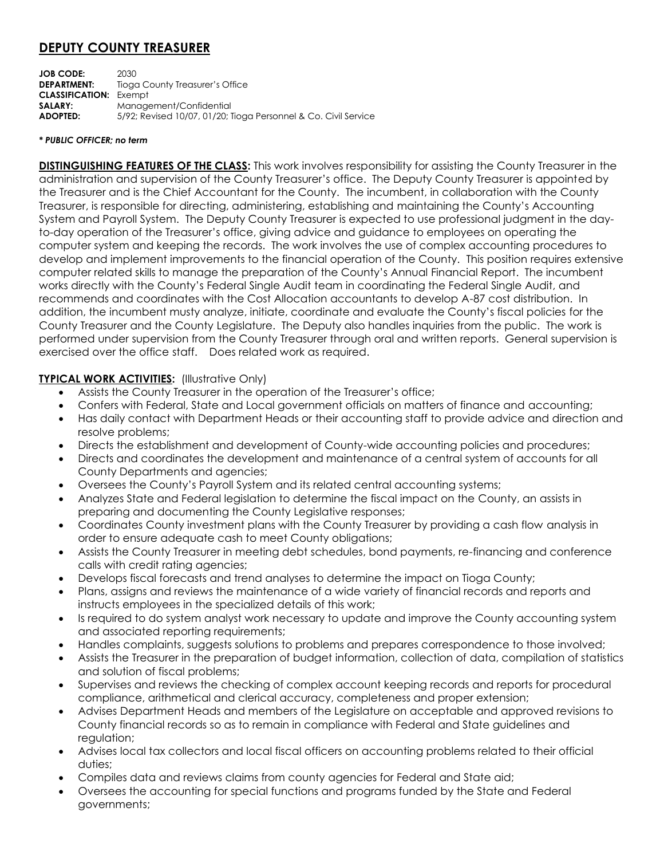# **DEPUTY COUNTY TREASURER**

**JOB CODE:** 2030 **DEPARTMENT:** Tioga County Treasurer's Office **CLASSIFICATION:** Exempt **SALARY:** Management/Confidential **ADOPTED:** 5/92; Revised 10/07, 01/20; Tioga Personnel & Co. Civil Service

#### *\* PUBLIC OFFICER; no term*

**DISTINGUISHING FEATURES OF THE CLASS:** This work involves responsibility for assisting the County Treasurer in the administration and supervision of the County Treasurer's office. The Deputy County Treasurer is appointed by the Treasurer and is the Chief Accountant for the County. The incumbent, in collaboration with the County Treasurer, is responsible for directing, administering, establishing and maintaining the County's Accounting System and Payroll System. The Deputy County Treasurer is expected to use professional judgment in the dayto-day operation of the Treasurer's office, giving advice and guidance to employees on operating the computer system and keeping the records. The work involves the use of complex accounting procedures to develop and implement improvements to the financial operation of the County. This position requires extensive computer related skills to manage the preparation of the County's Annual Financial Report. The incumbent works directly with the County's Federal Single Audit team in coordinating the Federal Single Audit, and recommends and coordinates with the Cost Allocation accountants to develop A-87 cost distribution. In addition, the incumbent musty analyze, initiate, coordinate and evaluate the County's fiscal policies for the County Treasurer and the County Legislature. The Deputy also handles inquiries from the public. The work is performed under supervision from the County Treasurer through oral and written reports. General supervision is exercised over the office staff. Does related work as required.

### **TYPICAL WORK ACTIVITIES:** (Illustrative Only)

- Assists the County Treasurer in the operation of the Treasurer's office;
- Confers with Federal, State and Local government officials on matters of finance and accounting;
- Has daily contact with Department Heads or their accounting staff to provide advice and direction and resolve problems;
- Directs the establishment and development of County-wide accounting policies and procedures;
- Directs and coordinates the development and maintenance of a central system of accounts for all County Departments and agencies;
- Oversees the County's Payroll System and its related central accounting systems;
- Analyzes State and Federal legislation to determine the fiscal impact on the County, an assists in preparing and documenting the County Legislative responses;
- Coordinates County investment plans with the County Treasurer by providing a cash flow analysis in order to ensure adequate cash to meet County obligations;
- Assists the County Treasurer in meeting debt schedules, bond payments, re-financing and conference calls with credit rating agencies;
- Develops fiscal forecasts and trend analyses to determine the impact on Tioga County;
- Plans, assigns and reviews the maintenance of a wide variety of financial records and reports and instructs employees in the specialized details of this work;
- Is required to do system analyst work necessary to update and improve the County accounting system and associated reporting requirements;
- Handles complaints, suggests solutions to problems and prepares correspondence to those involved;
- Assists the Treasurer in the preparation of budget information, collection of data, compilation of statistics and solution of fiscal problems;
- Supervises and reviews the checking of complex account keeping records and reports for procedural compliance, arithmetical and clerical accuracy, completeness and proper extension;
- Advises Department Heads and members of the Legislature on acceptable and approved revisions to County financial records so as to remain in compliance with Federal and State guidelines and regulation:
- Advises local tax collectors and local fiscal officers on accounting problems related to their official duties;
- Compiles data and reviews claims from county agencies for Federal and State aid;
- Oversees the accounting for special functions and programs funded by the State and Federal governments;